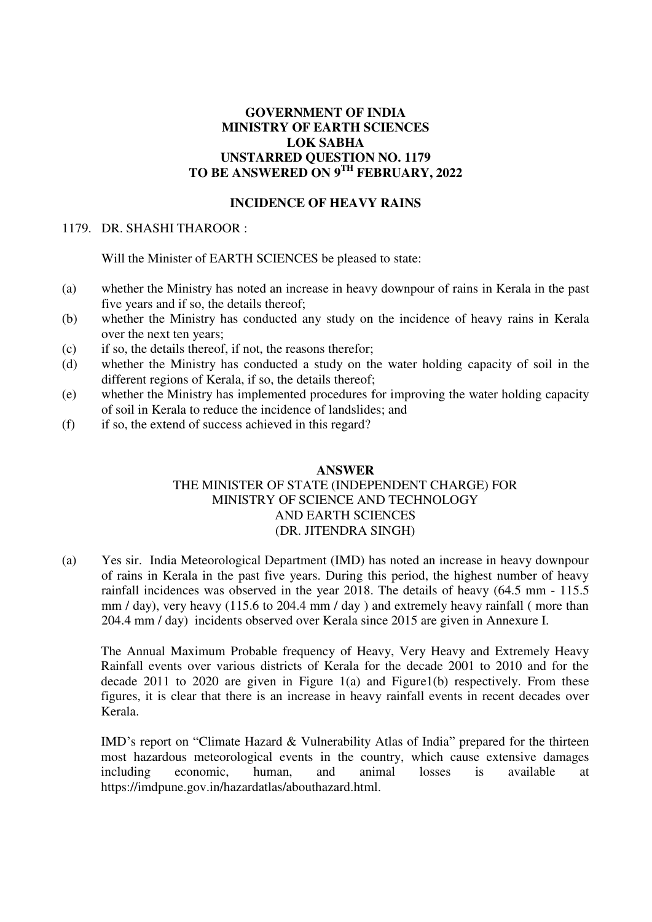## **GOVERNMENT OF INDIA MINISTRY OF EARTH SCIENCES LOK SABHA UNSTARRED QUESTION NO. 1179 TO BE ANSWERED ON 9TH FEBRUARY, 2022**

#### **INCIDENCE OF HEAVY RAINS**

## 1179. DR. SHASHI THAROOR :

Will the Minister of EARTH SCIENCES be pleased to state:

- (a) whether the Ministry has noted an increase in heavy downpour of rains in Kerala in the past five years and if so, the details thereof;
- (b) whether the Ministry has conducted any study on the incidence of heavy rains in Kerala over the next ten years;
- (c) if so, the details thereof, if not, the reasons therefor;
- (d) whether the Ministry has conducted a study on the water holding capacity of soil in the different regions of Kerala, if so, the details thereof;
- (e) whether the Ministry has implemented procedures for improving the water holding capacity of soil in Kerala to reduce the incidence of landslides; and
- (f) if so, the extend of success achieved in this regard?

## **ANSWER**  THE MINISTER OF STATE (INDEPENDENT CHARGE) FOR

# MINISTRY OF SCIENCE AND TECHNOLOGY AND EARTH SCIENCES (DR. JITENDRA SINGH)

(a) Yes sir. India Meteorological Department (IMD) has noted an increase in heavy downpour of rains in Kerala in the past five years. During this period, the highest number of heavy rainfall incidences was observed in the year 2018. The details of heavy (64.5 mm - 115.5 mm / day), very heavy (115.6 to 204.4 mm / day ) and extremely heavy rainfall ( more than 204.4 mm / day) incidents observed over Kerala since 2015 are given in Annexure I.

The Annual Maximum Probable frequency of Heavy, Very Heavy and Extremely Heavy Rainfall events over various districts of Kerala for the decade 2001 to 2010 and for the decade 2011 to 2020 are given in Figure  $1(a)$  and Figure  $1(b)$  respectively. From these figures, it is clear that there is an increase in heavy rainfall events in recent decades over Kerala.

IMD's report on "Climate Hazard & Vulnerability Atlas of India" prepared for the thirteen most hazardous meteorological events in the country, which cause extensive damages including economic, human, and animal losses is available at https://imdpune.gov.in/hazardatlas/abouthazard.html.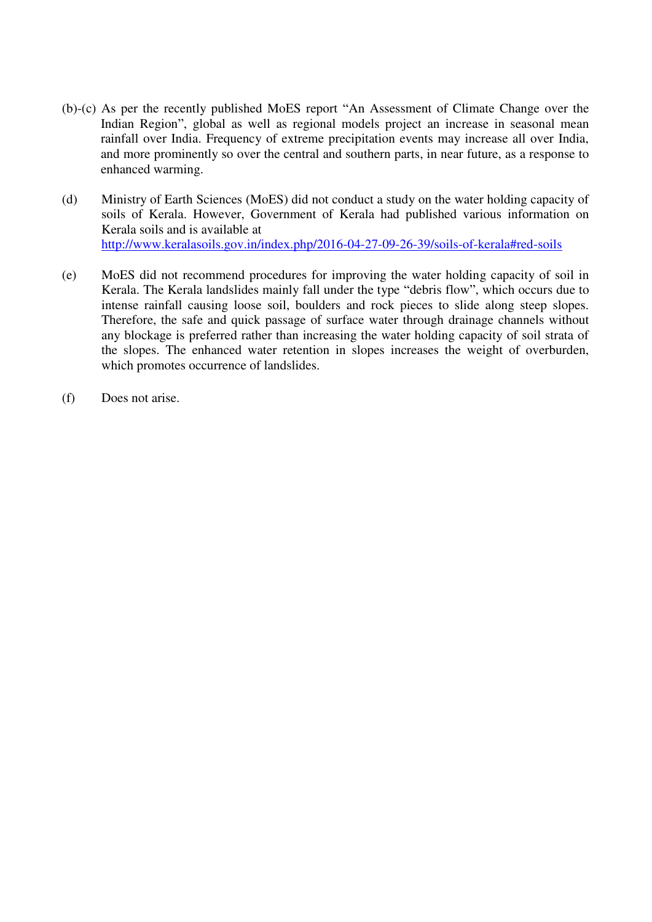- (b)-(c) As per the recently published MoES report "An Assessment of Climate Change over the Indian Region", global as well as regional models project an increase in seasonal mean rainfall over India. Frequency of extreme precipitation events may increase all over India, and more prominently so over the central and southern parts, in near future, as a response to enhanced warming.
- (d) Ministry of Earth Sciences (MoES) did not conduct a study on the water holding capacity of soils of Kerala. However, Government of Kerala had published various information on Kerala soils and is available at <http://www.keralasoils.gov.in/index.php/2016-04-27-09-26-39/soils-of-kerala#red-soils>
- (e) MoES did not recommend procedures for improving the water holding capacity of soil in Kerala. The Kerala landslides mainly fall under the type "debris flow", which occurs due to intense rainfall causing loose soil, boulders and rock pieces to slide along steep slopes. Therefore, the safe and quick passage of surface water through drainage channels without any blockage is preferred rather than increasing the water holding capacity of soil strata of the slopes. The enhanced water retention in slopes increases the weight of overburden, which promotes occurrence of landslides.
- (f) Does not arise.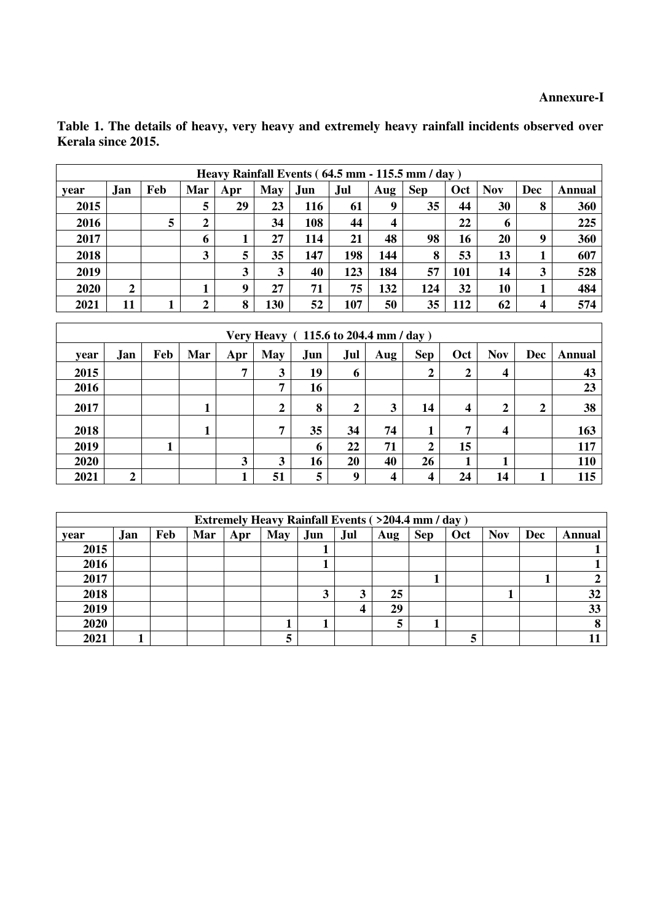**Table 1. The details of heavy, very heavy and extremely heavy rainfall incidents observed over Kerala since 2015.** 

| Heavy Rainfall Events (64.5 mm - 115.5 mm / day) |              |     |     |     |     |            |     |                         |            |     |             |     |        |
|--------------------------------------------------|--------------|-----|-----|-----|-----|------------|-----|-------------------------|------------|-----|-------------|-----|--------|
| vear                                             | Jan          | Feb | Mar | Apr | May | .Jun       | Jul | Aug                     | <b>Sep</b> | Oct | <b>Nov</b>  | Dec | Annual |
| 2015                                             |              |     | 5   | 29  | 23  | <b>116</b> | 61  | 9                       | 35         | 44  | 30          | 8   | 360    |
| 2016                                             |              | 5   | 2   |     | 34  | 108        | 44  | $\overline{\mathbf{4}}$ |            | 22  | $\mathbf b$ |     | 225    |
| 2017                                             |              |     | 6   |     | 27  | 114        | 21  | 48                      | 98         | 16  | <b>20</b>   | 9   | 360    |
| 2018                                             |              |     | 3   | 5   | 35  | 147        | 198 | 144                     | 8          | 53  | 13          |     | 607    |
| 2019                                             |              |     |     | 3   | 3   | 40         | 123 | 184                     | 57         | 101 | 14          | 3   | 528    |
| 2020                                             | $\mathbf{2}$ |     |     | 9   | 27  | 71         | 75  | 132                     | 124        | 32  | 10          |     | 484    |
| 2021                                             | 11           |     | 2   | 8   | 130 | 52         | 107 | 50                      | 35         | 112 | 62          | 4   | 574    |

| Very Heavy (115.6 to 204.4 mm / day) |                  |     |     |     |              |     |                |     |                |                  |            |                  |        |
|--------------------------------------|------------------|-----|-----|-----|--------------|-----|----------------|-----|----------------|------------------|------------|------------------|--------|
| vear                                 | .Jan             | Feb | Mar | Apr | May          | Jun | Jul            | Aug | <b>Sep</b>     | Oct              | <b>Nov</b> | <b>Dec</b>       | Annual |
| 2015                                 |                  |     |     | 7   | 3            | 19  | 6              |     | 2              | $\boldsymbol{2}$ | 4          |                  | 43     |
| 2016                                 |                  |     |     |     | 7            | 16  |                |     |                |                  |            |                  | 23     |
| 2017                                 |                  |     |     |     | 2            | 8   | $\overline{2}$ | 3   | 14             | 4                | 2          | $\boldsymbol{2}$ | 38     |
| 2018                                 |                  |     |     |     | 7            | 35  | 34             | 74  |                | 7                | 4          |                  | 163    |
| 2019                                 |                  |     |     |     |              | 6   | 22             | 71  | $\overline{2}$ | 15               |            |                  | 117    |
| 2020                                 |                  |     |     | 3   | $\mathbf{3}$ | 16  | 20             | 40  | 26             | 1<br>л           |            |                  | 110    |
| 2021                                 | $\boldsymbol{2}$ |     |     |     | 51           | 5   | 9              | 4   | 4              | 24               | 14         |                  | 115    |

| <b>Extremely Heavy Rainfall Events (&gt;204.4 mm / day)</b> |     |     |            |     |            |     |     |     |            |     |            |     |        |
|-------------------------------------------------------------|-----|-----|------------|-----|------------|-----|-----|-----|------------|-----|------------|-----|--------|
| year                                                        | Jan | Feb | <b>Mar</b> | Apr | <b>May</b> | Jun | Jul | Aug | <b>Sep</b> | Oct | <b>Nov</b> | Dec | Annual |
| 2015                                                        |     |     |            |     |            |     |     |     |            |     |            |     |        |
| 2016                                                        |     |     |            |     |            |     |     |     |            |     |            |     |        |
| 2017                                                        |     |     |            |     |            |     |     |     |            |     |            |     |        |
| 2018                                                        |     |     |            |     |            | N   |     | 25  |            |     |            |     | 32     |
| 2019                                                        |     |     |            |     |            |     |     | 29  |            |     |            |     | 33     |
| 2020                                                        |     |     |            |     |            |     |     | J   |            |     |            |     |        |
| 2021                                                        |     |     |            |     |            |     |     |     |            |     |            |     |        |